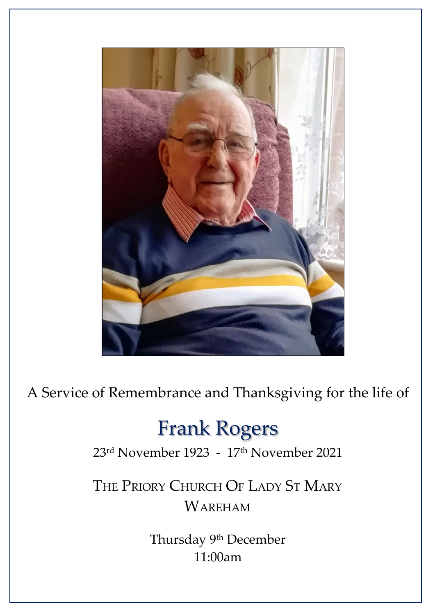

A Service of Remembrance and Thanksgiving for the life of

# Frank Rogers

23rd November 1923 - 17th November 2021

THE PRIORY CHURCH OF LADY ST MARY WAREHAM

> Thursday <sup>9th</sup> December 11:00am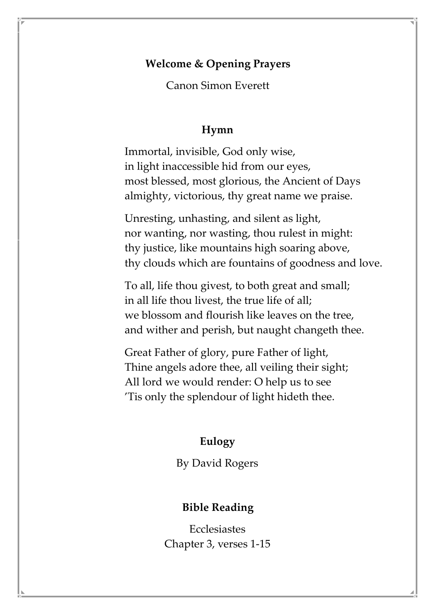### **Welcome & Opening Prayers**

Canon Simon Everett

#### **Hymn**

Immortal, invisible, God only wise, in light inaccessible hid from our eyes, most blessed, most glorious, the Ancient of Days almighty, victorious, thy great name we praise.

Unresting, unhasting, and silent as light, nor wanting, nor wasting, thou rulest in might: thy justice, like mountains high soaring above, thy clouds which are fountains of goodness and love.

To all, life thou givest, to both great and small; in all life thou livest, the true life of all; we blossom and flourish like leaves on the tree, and wither and perish, but naught changeth thee.

Great Father of glory, pure Father of light, Thine angels adore thee, all veiling their sight; All lord we would render: O help us to see 'Tis only the splendour of light hideth thee.

#### **Eulogy**

By David Rogers

#### **Bible Reading**

**Ecclesiastes** Chapter 3, verses 1-15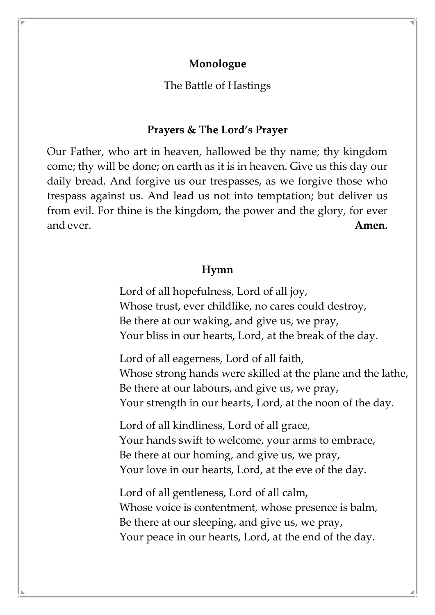## **Monologue**

The Battle of Hastings

#### **Prayers & The Lord's Prayer**

Our Father, who art in heaven, hallowed be thy name; thy kingdom come; thy will be done; on earth as it is in heaven. Give us this day our daily bread. And forgive us our trespasses, as we forgive those who trespass against us. And lead us not into temptation; but deliver us from evil. For thine is the kingdom, the power and the glory, for ever and ever. **Amen.**

#### **Hymn**

Lord of all hopefulness, Lord of all joy, Whose trust, ever childlike, no cares could destroy, Be there at our waking, and give us, we pray, Your bliss in our hearts, Lord, at the break of the day.

Lord of all eagerness, Lord of all faith, Whose strong hands were skilled at the plane and the lathe, Be there at our labours, and give us, we pray, Your strength in our hearts, Lord, at the noon of the day.

Lord of all kindliness, Lord of all grace, Your hands swift to welcome, your arms to embrace, Be there at our homing, and give us, we pray, Your love in our hearts, Lord, at the eve of the day.

Lord of all gentleness, Lord of all calm, Whose voice is contentment, whose presence is balm, Be there at our sleeping, and give us, we pray, Your peace in our hearts, Lord, at the end of the day.